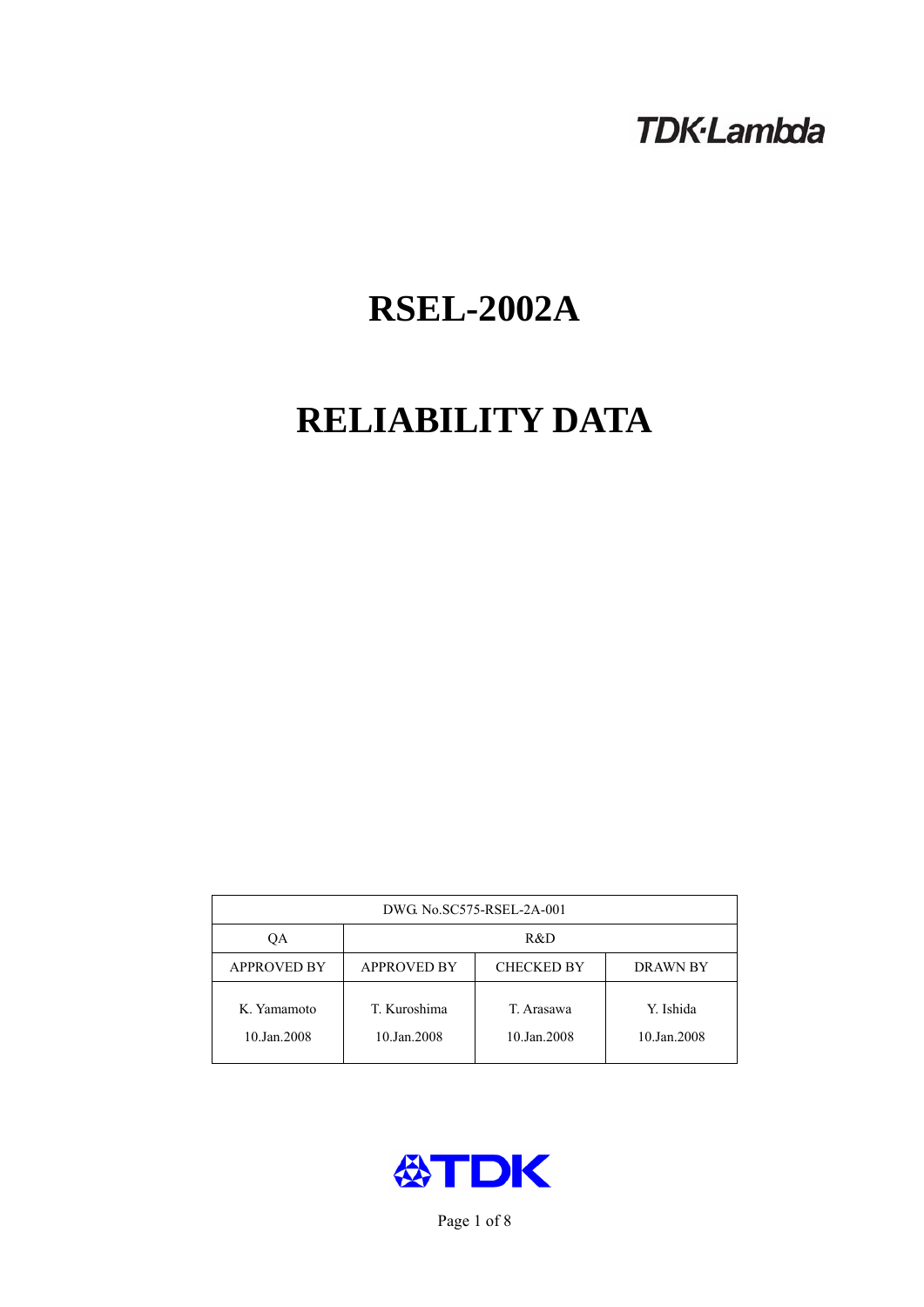# **TDK-Lambda**

# **RSEL-2002A**

# **RELIABILITY DATA**

| DWG No.SC575-RSEL-2A-001   |                                                            |                           |                          |  |  |
|----------------------------|------------------------------------------------------------|---------------------------|--------------------------|--|--|
| ОA                         | R&D                                                        |                           |                          |  |  |
| <b>APPROVED BY</b>         | <b>APPROVED BY</b><br><b>CHECKED BY</b><br><b>DRAWN BY</b> |                           |                          |  |  |
| K. Yamamoto<br>10.Jan.2008 | T. Kuroshima<br>10.Jan.2008                                | T. Arasawa<br>10.Jan.2008 | Y. Ishida<br>10.Jan.2008 |  |  |



Page 1 of 8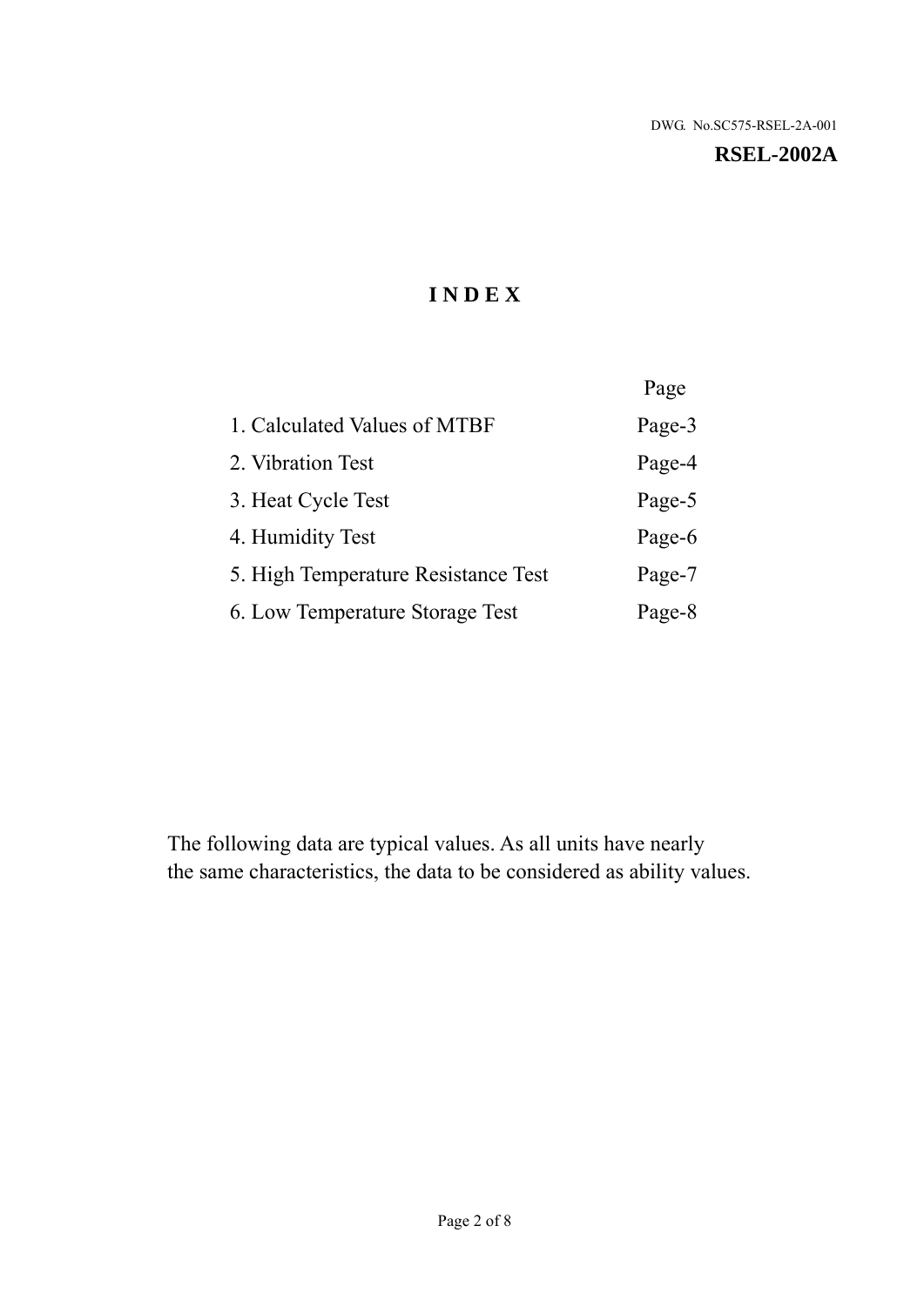# **I N D E X**

|                                     | Page   |
|-------------------------------------|--------|
| 1. Calculated Values of MTBF        | Page-3 |
| 2. Vibration Test                   | Page-4 |
| 3. Heat Cycle Test                  | Page-5 |
| 4. Humidity Test                    | Page-6 |
| 5. High Temperature Resistance Test | Page-7 |
| 6. Low Temperature Storage Test     | Page-8 |

The following data are typical values. As all units have nearly the same characteristics, the data to be considered as ability values.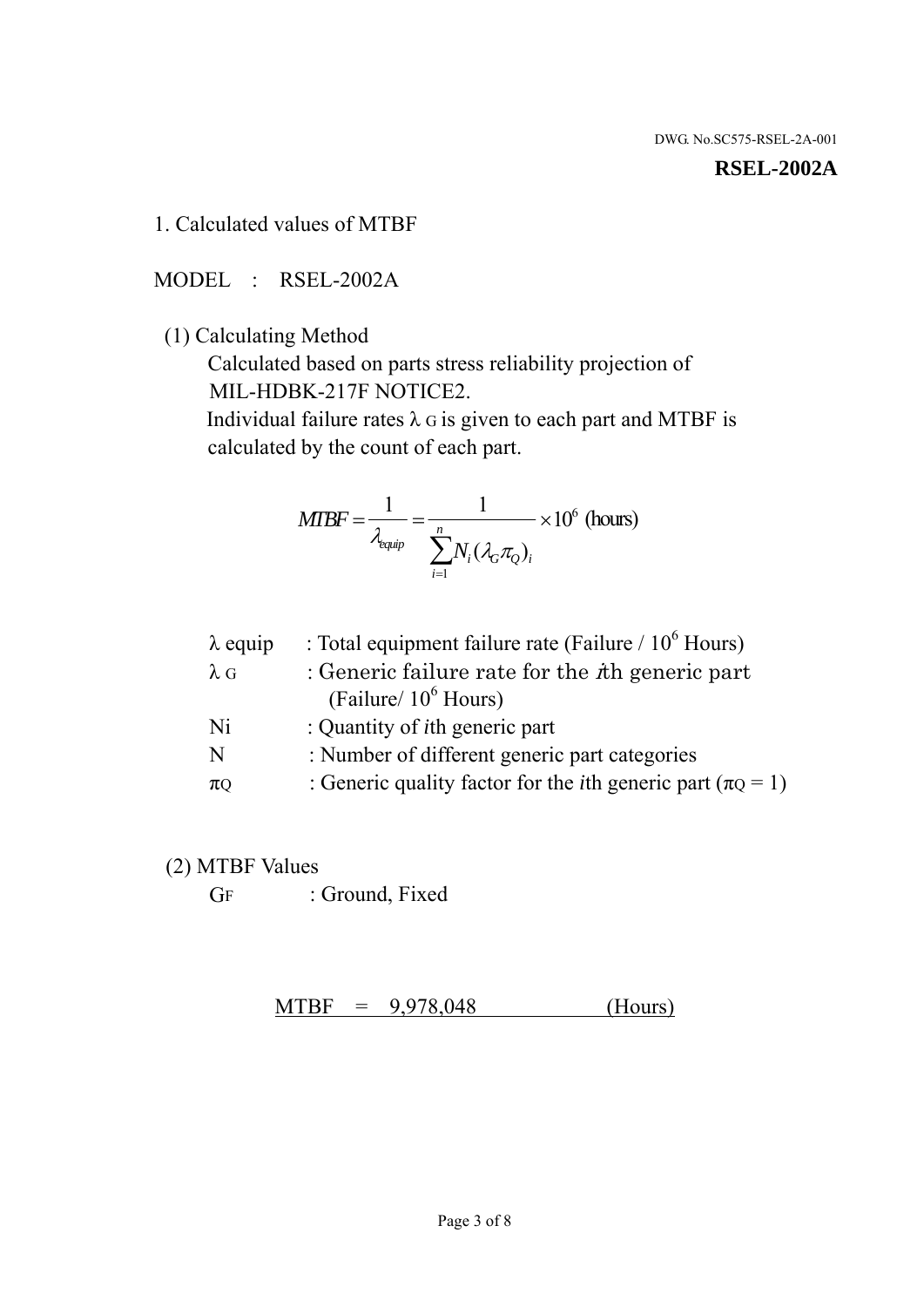#### **RSEL-2002A**

1. Calculated values of MTBF

MODEL : RSEL-2002A

(1) Calculating Method

 Calculated based on parts stress reliability projection of MIL-HDBK-217F NOTICE2.

Individual failure rates  $\lambda$  G is given to each part and MTBF is calculated by the count of each part.

$$
MIBF = \frac{1}{\lambda_{\text{equip}}} = \frac{1}{\sum_{i=1}^{n} N_i (\lambda_G \pi_Q)_i} \times 10^6 \text{ (hours)}
$$

| $\lambda$ equip | : Total equipment failure rate (Failure $/ 10^6$ Hours)                   |
|-----------------|---------------------------------------------------------------------------|
| $\lambda$ G     | : Generic failure rate for the $\hbar$ generic part                       |
|                 | (Failure/ $10^6$ Hours)                                                   |
| Ni              | : Quantity of <i>i</i> th generic part                                    |
| N               | : Number of different generic part categories                             |
| $\pi$ Q         | : Generic quality factor for the <i>i</i> th generic part ( $\pi Q = 1$ ) |

- (2) MTBF Values
	- GF : Ground, Fixed

 $MTBF = 9,978,048$  (Hours)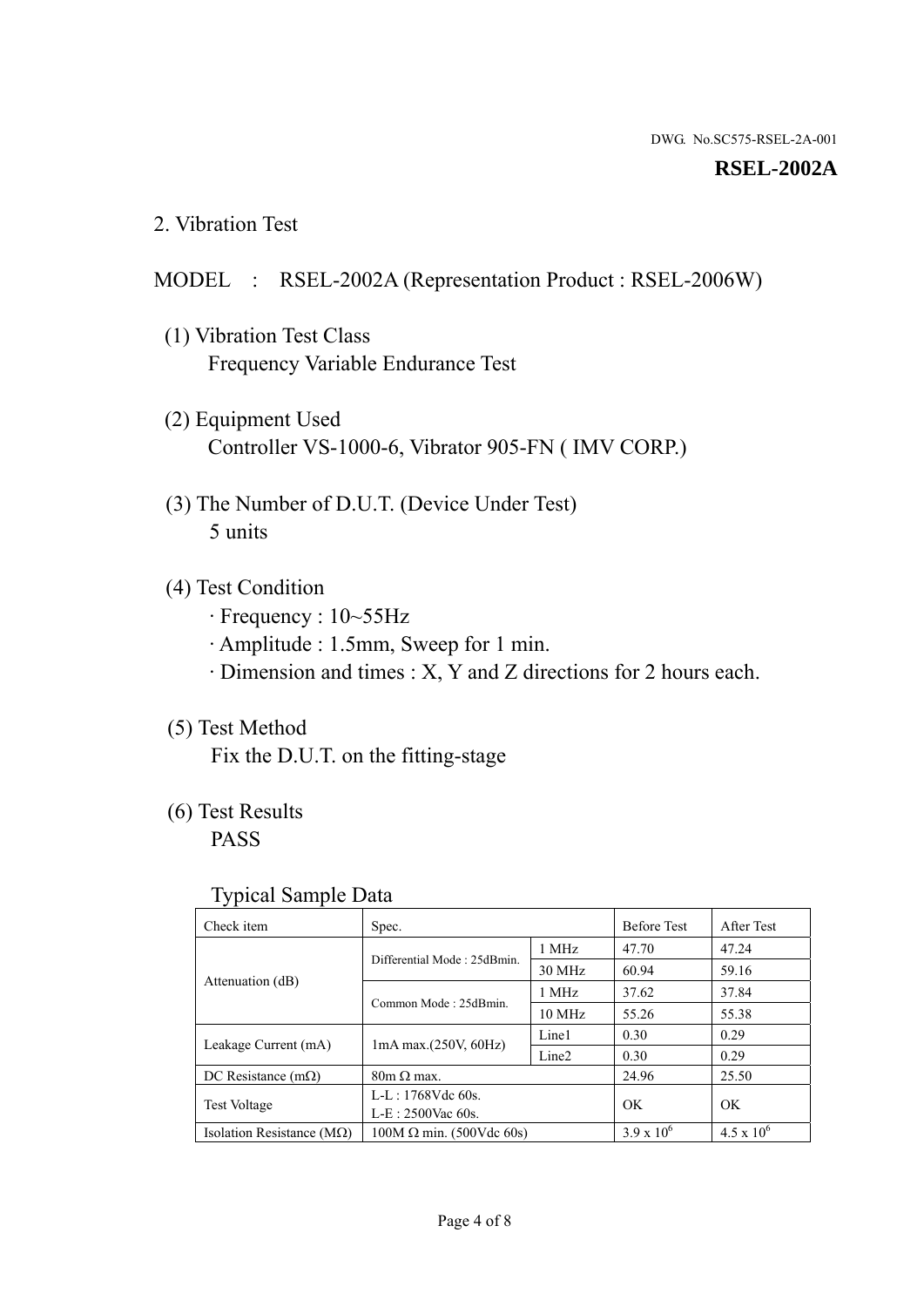#### **RSEL-2002A**

2. Vibration Test

#### MODEL : RSEL-2002A (Representation Product : RSEL-2006W)

- (1) Vibration Test Class Frequency Variable Endurance Test
- (2) Equipment Used Controller VS-1000-6, Vibrator 905-FN ( IMV CORP.)
- (3) The Number of D.U.T. (Device Under Test) 5 units
- (4) Test Condition
	- · Frequency : 10~55Hz
	- · Amplitude : 1.5mm, Sweep for 1 min.
	- · Dimension and times : X, Y and Z directions for 2 hours each.

## (5) Test Method

Fix the D.U.T. on the fitting-stage

# (6) Test Results

PASS

#### Typical Sample Data

| . .                                |                                                         |                  |                     |                     |
|------------------------------------|---------------------------------------------------------|------------------|---------------------|---------------------|
| Check item                         | Spec.                                                   |                  | <b>Before Test</b>  | After Test          |
|                                    | Differential Mode: 25dBmin.                             | 1 MHz            | 47.70               | 47.24               |
|                                    |                                                         | 30 MHz           | 60.94               | 59.16               |
| Attenuation (dB)                   | Common Mode: 25dBmin.                                   | 1 MHz            | 37.62               | 37.84               |
|                                    |                                                         | $10 \text{ MHz}$ | 55.26               | 55.38               |
| Leakage Current (mA)               | Line1<br>$1mA$ max. $(250V, 60Hz)$<br>Line <sub>2</sub> |                  | 0.30                | 0.29                |
|                                    |                                                         | 0.30             | 0.29                |                     |
| DC Resistance $(m\Omega)$          | $80m \Omega$ max.                                       |                  | 24.96               | 25.50               |
| <b>Test Voltage</b>                | $L-L: 1768Vdc$ 60s.                                     |                  | OK                  | OK.                 |
|                                    | $L-E$ : 2500Vac 60s.                                    |                  |                     |                     |
| Isolation Resistance ( $M\Omega$ ) | $100M \Omega$ min. (500Vdc 60s)                         |                  | $3.9 \times 10^{6}$ | $4.5 \times 10^{6}$ |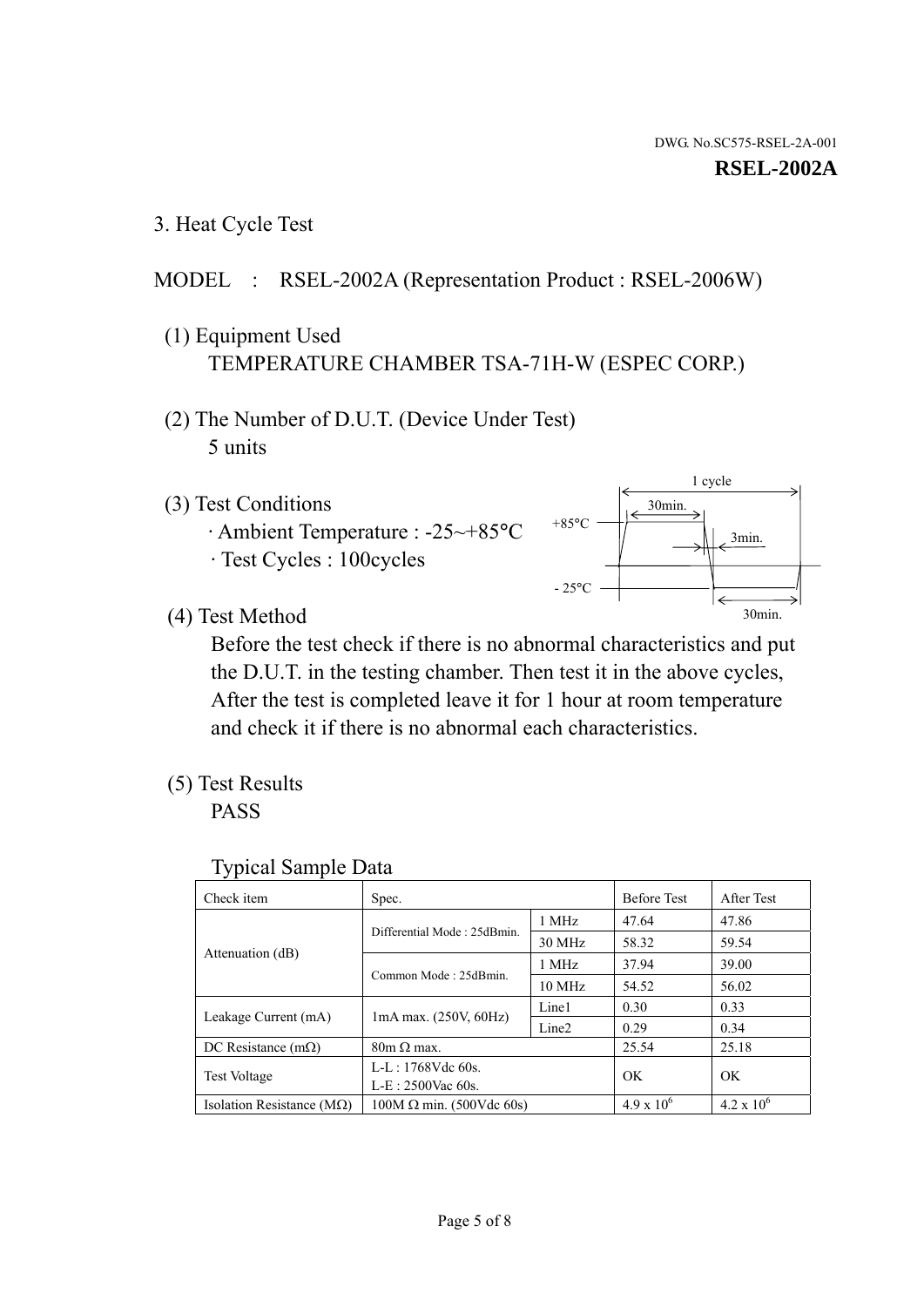1 cycle

30min.

3min.

30min.

3. Heat Cycle Test

#### MODEL : RSEL-2002A (Representation Product : RSEL-2006W)

- (1) Equipment Used TEMPERATURE CHAMBER TSA-71H-W (ESPEC CORP.)
- (2) The Number of D.U.T. (Device Under Test) 5 units
- (3) Test Conditions
	- · Ambient Temperature : -25~+85°C · Test Cycles : 100cycles
- (4) Test Method

 Before the test check if there is no abnormal characteristics and put the D.U.T. in the testing chamber. Then test it in the above cycles, After the test is completed leave it for 1 hour at room temperature and check it if there is no abnormal each characteristics.

 $+85$ °C

 $-25$ °C

(5) Test Results

PASS

| <b>Typical Sample Data</b> |  |
|----------------------------|--|
|                            |  |

| Check item                    | Spec.                           |                   | <b>Before Test</b>  | After Test          |
|-------------------------------|---------------------------------|-------------------|---------------------|---------------------|
|                               | Differential Mode: 25dBmin.     | 1 MHz             | 47.64               | 47.86               |
|                               |                                 | 30 MHz            | 58.32               | 59.54               |
| Attenuation (dB)              | Common Mode: 25dBmin.           | 1 MHz             | 37.94               | 39.00               |
|                               |                                 | $10 \text{ MHz}$  | 54.52               | 56.02               |
| Leakage Current (mA)          | $1mA$ max. $(250V, 60Hz)$       | Line1             | 0.30                | 0.33                |
|                               |                                 | Line <sub>2</sub> | 0.29                | 0.34                |
| DC Resistance $(m\Omega)$     | $80m \Omega$ max.               |                   | 25.54               | 25.18               |
| <b>Test Voltage</b>           | $L-L: 1768Vdc$ 60s.             |                   | OK                  |                     |
|                               | $L-E: 2500$ Vac 60s.            |                   |                     | <b>OK</b>           |
| Isolation Resistance ( $MQ$ ) | $100M \Omega$ min. (500Vdc 60s) |                   | $4.9 \times 10^{6}$ | $4.2 \times 10^{6}$ |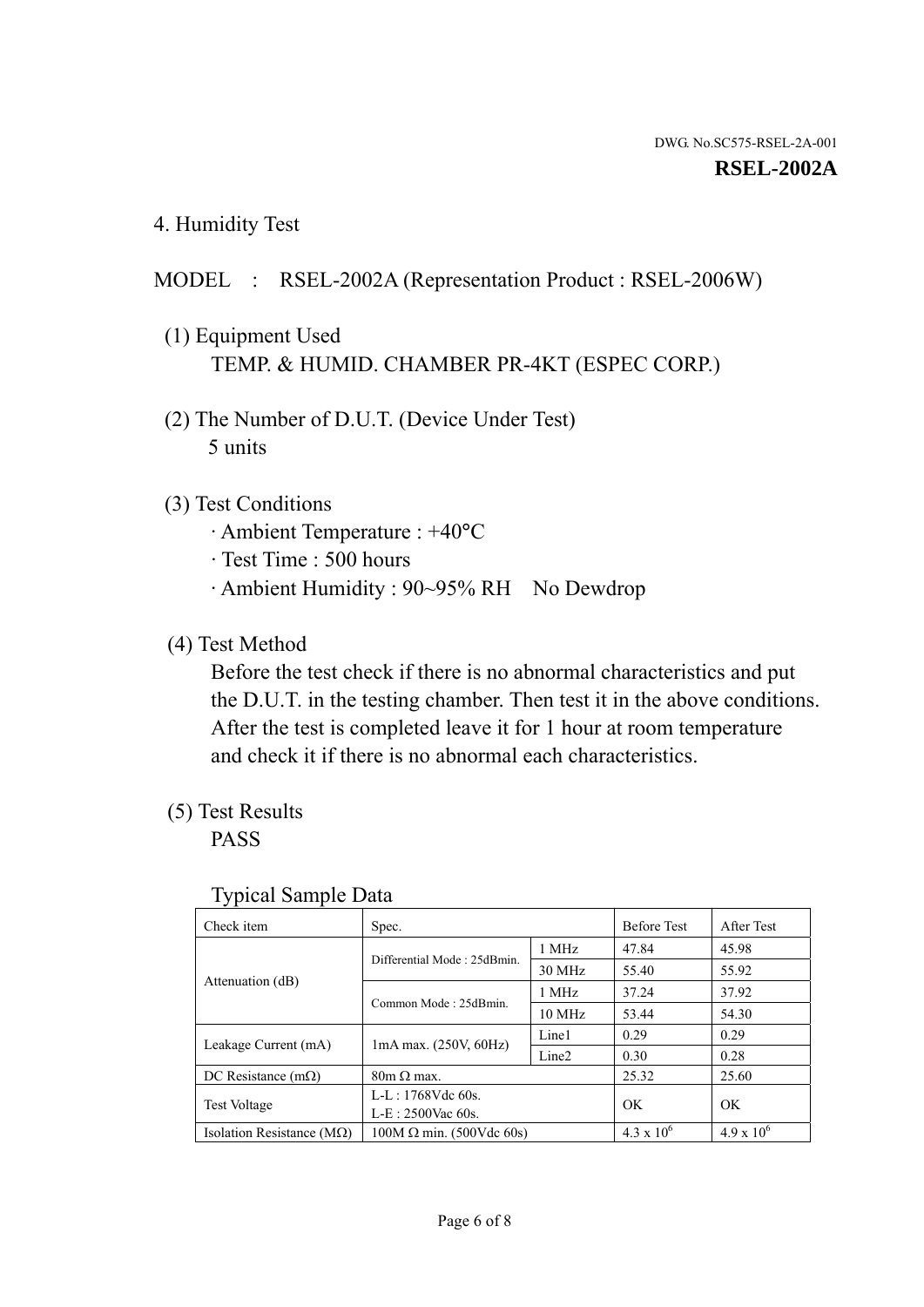4. Humidity Test

## MODEL : RSEL-2002A (Representation Product : RSEL-2006W)

- (1) Equipment Used TEMP. & HUMID. CHAMBER PR-4KT (ESPEC CORP.)
- (2) The Number of D.U.T. (Device Under Test) 5 units

## (3) Test Conditions

- · Ambient Temperature : +40°C
- · Test Time : 500 hours
- · Ambient Humidity : 90~95% RH No Dewdrop

## (4) Test Method

 Before the test check if there is no abnormal characteristics and put the D.U.T. in the testing chamber. Then test it in the above conditions. After the test is completed leave it for 1 hour at room temperature and check it if there is no abnormal each characteristics.

## (5) Test Results

PASS

| . .                                |                                                         |        |                     |                     |
|------------------------------------|---------------------------------------------------------|--------|---------------------|---------------------|
| Check item                         | Spec.                                                   |        | <b>Before Test</b>  | After Test          |
|                                    | Differential Mode: 25dBmin.                             | 1 MHz  | 47.84               | 45.98               |
|                                    |                                                         | 30 MHz | 55.40               | 55.92               |
| Attenuation (dB)                   | Common Mode: 25dBmin.                                   | 1 MHz  | 37.24               | 37.92               |
|                                    |                                                         | 10 MHz | 53.44               | 54.30               |
| Leakage Current (mA)               | Line1<br>$1mA$ max. $(250V, 60Hz)$<br>Line <sub>2</sub> |        | 0.29                | 0.29                |
|                                    |                                                         |        | 0.30                | 0.28                |
| DC Resistance $(m\Omega)$          | $80m \Omega$ max.                                       |        | 25.32               | 25.60               |
| <b>Test Voltage</b>                | $L-L: 1768Vdc$ 60s.                                     |        | OK                  | OK                  |
|                                    | $L-E: 2500$ Vac 60s.                                    |        |                     |                     |
| Isolation Resistance ( $M\Omega$ ) | $100M \Omega$ min. (500Vdc 60s)                         |        | $4.3 \times 10^{6}$ | $4.9 \times 10^{6}$ |

#### Typical Sample Data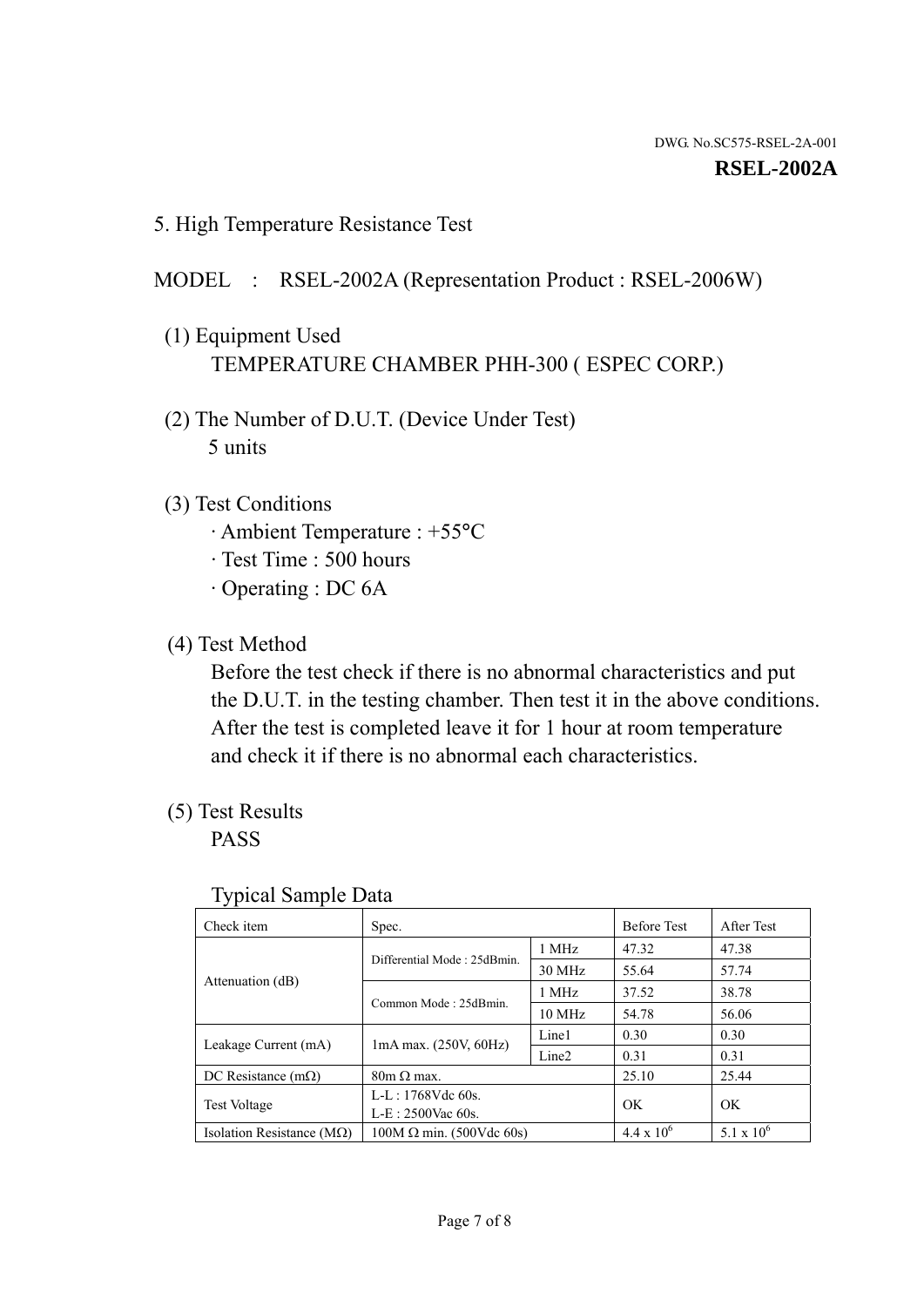5. High Temperature Resistance Test

#### MODEL : RSEL-2002A (Representation Product : RSEL-2006W)

- (1) Equipment Used TEMPERATURE CHAMBER PHH-300 ( ESPEC CORP.)
- (2) The Number of D.U.T. (Device Under Test) 5 units
- (3) Test Conditions
	- · Ambient Temperature : +55°C
	- · Test Time : 500 hours
	- · Operating : DC 6A
- (4) Test Method

 Before the test check if there is no abnormal characteristics and put the D.U.T. in the testing chamber. Then test it in the above conditions. After the test is completed leave it for 1 hour at room temperature and check it if there is no abnormal each characteristics.

(5) Test Results

PASS

| ╯┸                                 |                                                         |        |                     |                     |
|------------------------------------|---------------------------------------------------------|--------|---------------------|---------------------|
| Check item                         | Spec.                                                   |        | <b>Before Test</b>  | After Test          |
|                                    | Differential Mode: 25dBmin.                             | 1 MHz  | 47.32               | 47.38               |
|                                    |                                                         | 30 MHz | 55.64               | 57.74               |
| Attenuation (dB)                   | Common Mode: 25dBmin.                                   | 1 MHz  | 37.52               | 38.78               |
|                                    |                                                         | 10 MHz | 54.78               | 56.06               |
| Leakage Current (mA)               | Line1<br>$1mA$ max. $(250V, 60Hz)$<br>Line <sub>2</sub> |        | 0.30                | 0.30                |
|                                    |                                                         | 0.31   | 0.31                |                     |
| DC Resistance $(m\Omega)$          | $80m \Omega$ max.                                       |        | 25.10               | 25.44               |
| <b>Test Voltage</b>                | $L-L: 1768Vdc$ 60s.                                     |        | OK                  | OK                  |
|                                    | $L-E: 2500$ Vac 60s.                                    |        |                     |                     |
| Isolation Resistance ( $M\Omega$ ) | $100M \Omega$ min. (500Vdc 60s)                         |        | $4.4 \times 10^{6}$ | $5.1 \times 10^{6}$ |

#### Typical Sample Data